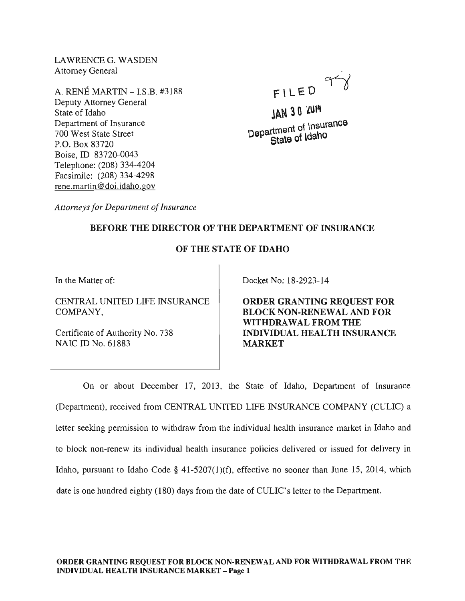LAWRENCEG. WASDEN Attorney General

A. RENE MARTIN -I.S.B. #3188 Deputy Attorney General State of Idaho Department of Insurance 700 West State Street P.O. Box 83720 Boise, ID 83720-0043 Telephone: (208) 334-4204 Facsimile: (208) 334-4298 rene. martin @doi.idaho.gov

- FILED ~

JAN 30 'LUI4 <sub>tment</sub> of Insurance  $D^{\text{opair}}$ <sup> $\text{Cstate}$  of  $\text{Ida}$ <sup>hO</sup></sup>

*Attorneys for Department of Insurance* 

## BEFORE THE DIRECTOR OF THE DEPARTMENT OF INSURANCE

## OF THE STATE OF IDAHO

In the Matter of:

CENTRAL UNITED LIFE INSURANCE COMPANY,

Certificate of Authority No. 738 NAIC ID No. 61883

Docket No: 18-2923-14

ORDER GRANTING REQUEST FOR BLOCK NON-RENEWAL AND FOR WITHDRAWAL FROM THE INDIVIDUAL HEALTH INSURANCE MARKET

On or about December 17, 2013, the State of Idaho, Department of Insurance (Department), received from CENTRAL UNITED LIFE INSURANCE COMPANY (CULIC) a letter seeking permission to withdraw from the individual health insurance market in Idaho and to block non-renew its individual health insurance policies delivered or issued for delivery in Idaho, pursuant to Idaho Code § 41-5207(1)(f), effective no sooner than June 15, 2014, which date is one hundred eighty (180) days from the date of CULIC's letter to the Department.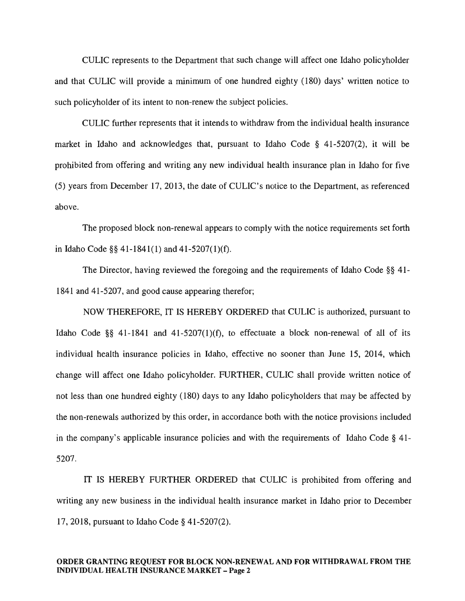CULIC represents to the Department that such change will affect one Idaho policyholder and that CULIC will provide a minimum of one hundred eighty (180) days' written notice to such policyholder of its intent to non-renew the subject policies.

CULIC further represents that it intends to withdraw from the individual health insurance market in Idaho and acknowledges that, pursuant to Idaho Code § 41-5207(2), it will be prohibited from offering and writing any new individual health insurance plan in Idaho for five (5) years from December 17,2013, the date of CULIC's notice to the Department, as referenced above.

The proposed block non-renewal appears to comply with the notice requirements set forth in Idaho Code §§ 41-1841(1) and 41-5207(1)(f).

The Director, having reviewed the foregoing and the requirements of Idaho Code §§ 41- 1841 and 41-5207, and good cause appearing therefor;

NOW THEREFORE, IT IS HEREBY ORDERED that CULIC is authorized, pursuant to Idaho Code §§ 41-1841 and 41-5207(1)(f), to effectuate a block non-renewal of all of its individual health insurance policies in Idaho, effective no sooner than June 15, 2014, which change will affect one Idaho policyholder. FURTHER, CULIC shall provide written notice of not less than one hundred eighty (180) days to any Idaho policyholders that may be affected by the non-renewals authorized by this order, in accordance both with the notice provisions included in the company's applicable insurance policies and with the requirements of Idaho Code § 41- 5207.

IT IS HEREBY FURTHER ORDERED that CULIC is prohibited from offering and writing any new business in the individual health insurance market in Idaho prior to December 17,2018, pursuant to Idaho Code § 41-5207(2).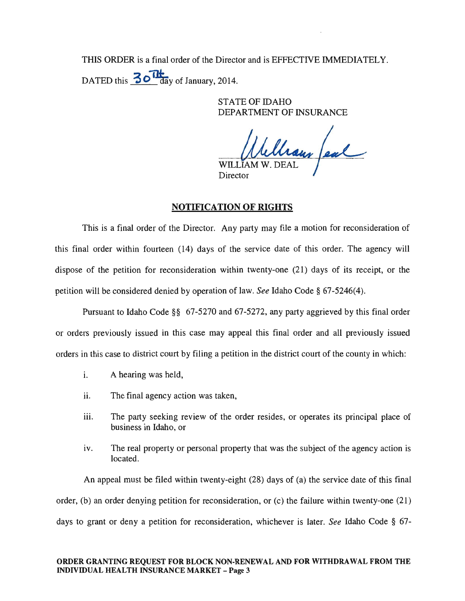THIS ORDER is a final order of the Director and is EFFECTIVE IMMEDIATELY. DATED this  $30$  May of January, 2014.

> STATE OF IDAHO DEPARTMENT OF INSURANCE

William feal **WILI** Director

## NOTIFICATION OF RIGHTS

This is a final order of the Director. Any party may file a motion for reconsideration of this final order within fourteen (14) days of the service date of this order. The agency will dispose of the petition for reconsideration within twenty-one (21) days of its receipt, or the petition will be considered denied by operation of law. *See* Idaho Code § 67-5246(4).

Pursuant to Idaho Code §§ 67-5270 and 67-5272, any party aggrieved by this final order or orders previously issued in this case may appeal this final order and all previously issued orders in this case to district court by filing a petition in the district court of the county in which:

- i. A hearing was held,
- ii. The final agency action was taken,
- iii. The party seeking review of the order resides, or operates its principal place of business in Idaho, or
- iv. The real property or personal property that was the subject of the agency action is located.

An appeal must be filed within twenty-eight (28) days of (a) the service date of this final order, (b) an order denying petition for reconsideration, or (c) the failure within twenty-one (21) days to grant or deny a petition for reconsideration, whichever is later. *See* Idaho Code § 67